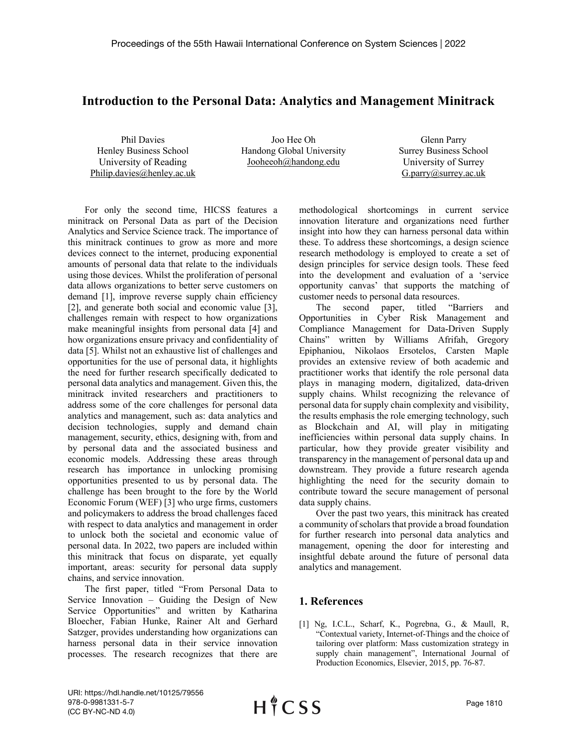## **Introduction to the Personal Data: Analytics and Management Minitrack**

Phil Davies Henley Business School University of Reading Philip.davies@henley.ac.uk

Joo Hee Oh Handong Global University Jooheeoh@handong.edu

Glenn Parry Surrey Business School University of Surrey G.parry@surrey.ac.uk

For only the second time, HICSS features a minitrack on Personal Data as part of the Decision Analytics and Service Science track. The importance of this minitrack continues to grow as more and more devices connect to the internet, producing exponential amounts of personal data that relate to the individuals using those devices. Whilst the proliferation of personal data allows organizations to better serve customers on demand [1], improve reverse supply chain efficiency [2], and generate both social and economic value [3], challenges remain with respect to how organizations make meaningful insights from personal data [4] and how organizations ensure privacy and confidentiality of data [5]. Whilst not an exhaustive list of challenges and opportunities for the use of personal data, it highlights the need for further research specifically dedicated to personal data analytics and management. Given this, the minitrack invited researchers and practitioners to address some of the core challenges for personal data analytics and management, such as: data analytics and decision technologies, supply and demand chain management, security, ethics, designing with, from and by personal data and the associated business and economic models. Addressing these areas through research has importance in unlocking promising opportunities presented to us by personal data. The challenge has been brought to the fore by the World Economic Forum (WEF) [3] who urge firms, customers and policymakers to address the broad challenges faced with respect to data analytics and management in order to unlock both the societal and economic value of personal data. In 2022, two papers are included within this minitrack that focus on disparate, yet equally important, areas: security for personal data supply chains, and service innovation.

The first paper, titled "From Personal Data to Service Innovation – Guiding the Design of New Service Opportunities" and written by Katharina Bloecher, Fabian Hunke, Rainer Alt and Gerhard Satzger, provides understanding how organizations can harness personal data in their service innovation processes. The research recognizes that there are

methodological shortcomings in current service innovation literature and organizations need further insight into how they can harness personal data within these. To address these shortcomings, a design science research methodology is employed to create a set of design principles for service design tools. These feed into the development and evaluation of a 'service opportunity canvas' that supports the matching of customer needs to personal data resources.

The second paper, titled "Barriers and Opportunities in Cyber Risk Management and Compliance Management for Data-Driven Supply Chains" written by Williams Afrifah, Gregory Epiphaniou, Nikolaos Ersotelos, Carsten Maple provides an extensive review of both academic and practitioner works that identify the role personal data plays in managing modern, digitalized, data-driven supply chains. Whilst recognizing the relevance of personal data for supply chain complexity and visibility, the results emphasis the role emerging technology, such as Blockchain and AI, will play in mitigating inefficiencies within personal data supply chains. In particular, how they provide greater visibility and transparency in the management of personal data up and downstream. They provide a future research agenda highlighting the need for the security domain to contribute toward the secure management of personal data supply chains.

Over the past two years, this minitrack has created a community of scholars that provide a broad foundation for further research into personal data analytics and management, opening the door for interesting and insightful debate around the future of personal data analytics and management.

## **1. References**

[1] Ng, I.C.L., Scharf, K., Pogrebna, G., & Maull, R, "Contextual variety, Internet-of-Things and the choice of tailoring over platform: Mass customization strategy in supply chain management", International Journal of Production Economics, Elsevier, 2015, pp. 76-87.

URI: https://hdl.handle.net/10125/79556 978-0-9981331-5-7 (CC BY-NC-ND 4.0)